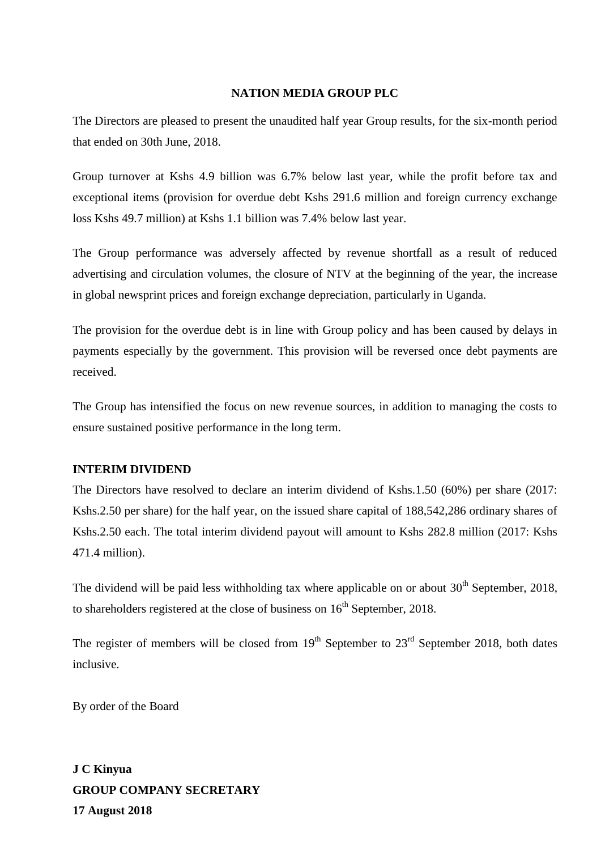## **NATION MEDIA GROUP PLC**

The Directors are pleased to present the unaudited half year Group results, for the six-month period that ended on 30th June, 2018.

Group turnover at Kshs 4.9 billion was 6.7% below last year, while the profit before tax and exceptional items (provision for overdue debt Kshs 291.6 million and foreign currency exchange loss Kshs 49.7 million) at Kshs 1.1 billion was 7.4% below last year.

The Group performance was adversely affected by revenue shortfall as a result of reduced advertising and circulation volumes, the closure of NTV at the beginning of the year, the increase in global newsprint prices and foreign exchange depreciation, particularly in Uganda.

The provision for the overdue debt is in line with Group policy and has been caused by delays in payments especially by the government. This provision will be reversed once debt payments are received.

The Group has intensified the focus on new revenue sources, in addition to managing the costs to ensure sustained positive performance in the long term.

## **INTERIM DIVIDEND**

The Directors have resolved to declare an interim dividend of Kshs.1.50 (60%) per share (2017: Kshs.2.50 per share) for the half year, on the issued share capital of 188,542,286 ordinary shares of Kshs.2.50 each. The total interim dividend payout will amount to Kshs 282.8 million (2017: Kshs 471.4 million).

The dividend will be paid less withholding tax where applicable on or about  $30<sup>th</sup>$  September, 2018, to shareholders registered at the close of business on  $16<sup>th</sup>$  September, 2018.

The register of members will be closed from  $19<sup>th</sup>$  September to  $23<sup>rd</sup>$  September 2018, both dates inclusive.

By order of the Board

**J C Kinyua GROUP COMPANY SECRETARY 17 August 2018**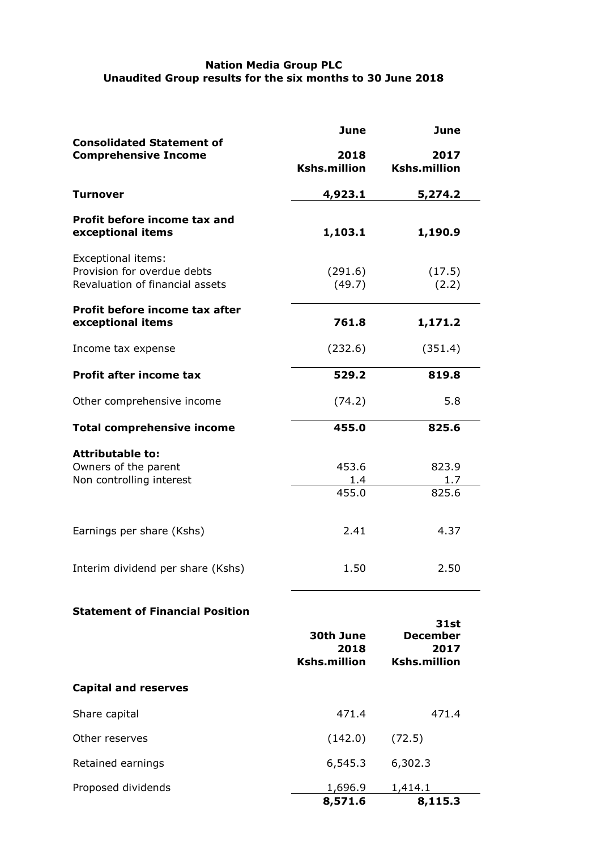# **Nation Media Group PLC Unaudited Group results for the six months to 30 June 2018**

|                                                                                             | <b>June</b>                              | <b>June</b>                                                   |  |  |
|---------------------------------------------------------------------------------------------|------------------------------------------|---------------------------------------------------------------|--|--|
| <b>Consolidated Statement of</b><br><b>Comprehensive Income</b>                             | 2018<br><b>Kshs.million</b>              |                                                               |  |  |
| <b>Turnover</b>                                                                             | 4,923.1                                  | 5,274.2                                                       |  |  |
| Profit before income tax and<br>exceptional items                                           | 1,103.1                                  | 1,190.9                                                       |  |  |
| <b>Exceptional items:</b><br>Provision for overdue debts<br>Revaluation of financial assets | (291.6)<br>(49.7)                        | (17.5)<br>(2.2)                                               |  |  |
| Profit before income tax after<br>exceptional items                                         | 761.8                                    | 1,171.2                                                       |  |  |
| Income tax expense                                                                          | (232.6)                                  | (351.4)                                                       |  |  |
| Profit after income tax                                                                     | 529.2                                    | 819.8                                                         |  |  |
| Other comprehensive income                                                                  | (74.2)                                   | 5.8                                                           |  |  |
| <b>Total comprehensive income</b>                                                           | 455.0                                    | 825.6                                                         |  |  |
| <b>Attributable to:</b><br>Owners of the parent<br>Non controlling interest                 | 453.6<br>1.4<br>455.0                    | 823.9<br>1.7<br>825.6                                         |  |  |
| Earnings per share (Kshs)                                                                   | 2.41                                     | 4.37                                                          |  |  |
| Interim dividend per share (Kshs)                                                           | 1.50                                     | 2.50                                                          |  |  |
| <b>Statement of Financial Position</b>                                                      |                                          |                                                               |  |  |
|                                                                                             | 30th June<br>2018<br><b>Kshs.million</b> | <b>31st</b><br><b>December</b><br>2017<br><b>Kshs.million</b> |  |  |
| <b>Capital and reserves</b>                                                                 |                                          |                                                               |  |  |
| Share capital                                                                               | 471.4                                    | 471.4                                                         |  |  |
| Other reserves                                                                              | (142.0)                                  | (72.5)                                                        |  |  |
| Retained earnings                                                                           | 6,545.3                                  | 6,302.3                                                       |  |  |
| Proposed dividends                                                                          | 1,696.9<br>8,571.6                       | 1,414.1<br>8,115.3                                            |  |  |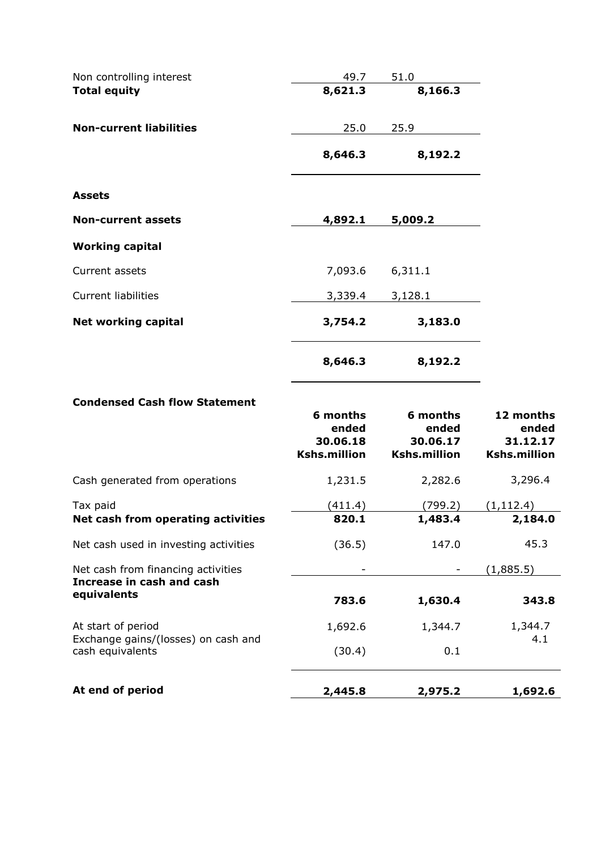| Non controlling interest       | 49.7    | 51.0    |  |  |
|--------------------------------|---------|---------|--|--|
| <b>Total equity</b>            | 8,621.3 | 8,166.3 |  |  |
| <b>Non-current liabilities</b> | 25.0    | 25.9    |  |  |
|                                | 8,646.3 | 8,192.2 |  |  |
| <b>Assets</b>                  |         |         |  |  |
| <b>Non-current assets</b>      | 4,892.1 | 5,009.2 |  |  |
| <b>Working capital</b>         |         |         |  |  |
| Current assets                 | 7,093.6 | 6,311.1 |  |  |
| <b>Current liabilities</b>     | 3,339.4 | 3,128.1 |  |  |
| <b>Net working capital</b>     | 3,754.2 | 3,183.0 |  |  |
|                                | 8,646.3 | 8,192.2 |  |  |

l,

#### **Condensed Cash flow Statement**

|                                                                                | 6 months<br>ended<br>30.06.18<br><b>Kshs.million</b> | 6 months<br>ended<br>30.06.17<br><b>Kshs.million</b> | 12 months<br>ended<br>31.12.17<br><b>Kshs.million</b> |
|--------------------------------------------------------------------------------|------------------------------------------------------|------------------------------------------------------|-------------------------------------------------------|
| Cash generated from operations                                                 | 1,231.5                                              | 2,282.6                                              | 3,296.4                                               |
| Tax paid                                                                       | (411.4)                                              | (799.2)                                              | (1, 112.4)                                            |
| Net cash from operating activities                                             | 820.1                                                | 1,483.4                                              | 2,184.0                                               |
| Net cash used in investing activities                                          | (36.5)                                               | 147.0                                                | 45.3                                                  |
| Net cash from financing activities<br>Increase in cash and cash<br>equivalents |                                                      |                                                      | (1,885.5)                                             |
|                                                                                | 783.6                                                | 1,630.4                                              | 343.8                                                 |
| At start of period<br>Exchange gains/(losses) on cash and                      | 1,692.6                                              | 1,344.7                                              | 1,344.7<br>4.1                                        |
| cash equivalents                                                               | (30.4)                                               | 0.1                                                  |                                                       |
| At end of period                                                               | 2,445.8                                              | 2,975.2                                              | 1,692.6                                               |